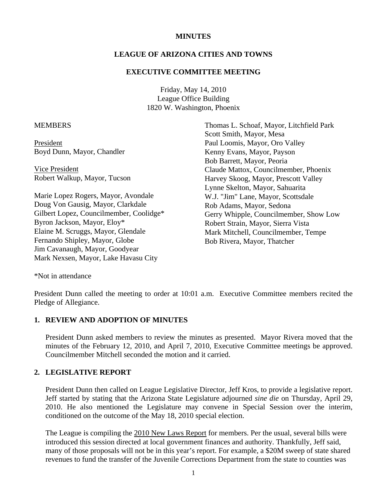# **MINUTES**

## **LEAGUE OF ARIZONA CITIES AND TOWNS**

### **EXECUTIVE COMMITTEE MEETING**

Friday, May 14, 2010 League Office Building 1820 W. Washington, Phoenix

### **MEMBERS**

President Boyd Dunn, Mayor, Chandler

 Vice President Robert Walkup, Mayor, Tucson

Marie Lopez Rogers, Mayor, Avondale Doug Von Gausig, Mayor, Clarkdale Gilbert Lopez, Councilmember, Coolidge\* Byron Jackson, Mayor, Eloy\* Elaine M. Scruggs, Mayor, Glendale Fernando Shipley, Mayor, Globe Jim Cavanaugh, Mayor, Goodyear Mark Nexsen, Mayor, Lake Havasu City

Thomas L. Schoaf, Mayor, Litchfield Park Scott Smith, Mayor, Mesa Paul Loomis, Mayor, Oro Valley Kenny Evans, Mayor, Payson Bob Barrett, Mayor, Peoria Claude Mattox, Councilmember, Phoenix Harvey Skoog, Mayor, Prescott Valley Lynne Skelton, Mayor, Sahuarita W.J. "Jim" Lane, Mayor, Scottsdale Rob Adams, Mayor, Sedona Gerry Whipple, Councilmember, Show Low Robert Strain, Mayor, Sierra Vista Mark Mitchell, Councilmember, Tempe Bob Rivera, Mayor, Thatcher

\*Not in attendance

President Dunn called the meeting to order at 10:01 a.m. Executive Committee members recited the Pledge of Allegiance.

# **1. REVIEW AND ADOPTION OF MINUTES**

President Dunn asked members to review the minutes as presented. Mayor Rivera moved that the minutes of the February 12, 2010, and April 7, 2010, Executive Committee meetings be approved. Councilmember Mitchell seconded the motion and it carried.

## **2. LEGISLATIVE REPORT**

President Dunn then called on League Legislative Director, Jeff Kros, to provide a legislative report. Jeff started by stating that the Arizona State Legislature adjourned *sine die* on Thursday, April 29, 2010. He also mentioned the Legislature may convene in Special Session over the interim, conditioned on the outcome of the May 18, 2010 special election.

The League is compiling the 2010 New Laws Report for members. Per the usual, several bills were introduced this session directed at local government finances and authority. Thankfully, Jeff said, many of those proposals will not be in this year's report. For example, a \$20M sweep of state shared revenues to fund the transfer of the Juvenile Corrections Department from the state to counties was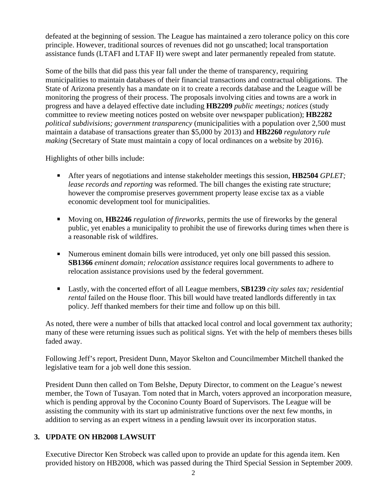defeated at the beginning of session. The League has maintained a zero tolerance policy on this core principle. However, traditional sources of revenues did not go unscathed; local transportation assistance funds (LTAFI and LTAF II) were swept and later permanently repealed from statute.

Some of the bills that did pass this year fall under the theme of transparency, requiring municipalities to maintain databases of their financial transactions and contractual obligations. The State of Arizona presently has a mandate on it to create a records database and the League will be monitoring the progress of their process. The proposals involving cities and towns are a work in progress and have a delayed effective date including **HB2209** *public meetings; notices* (study committee to review meeting notices posted on website over newspaper publication); **HB2282** *political subdivisions; government transparency* (municipalities with a population over 2,500 must maintain a database of transactions greater than \$5,000 by 2013) and **HB2260** *regulatory rule making* (Secretary of State must maintain a copy of local ordinances on a website by 2016).

Highlights of other bills include:

- After years of negotiations and intense stakeholder meetings this session, **HB2504** *GPLET; lease records and reporting* was reformed. The bill changes the existing rate structure; however the compromise preserves government property lease excise tax as a viable economic development tool for municipalities.
- Moving on, **HB2246** *regulation of fireworks*, permits the use of fireworks by the general public, yet enables a municipality to prohibit the use of fireworks during times when there is a reasonable risk of wildfires.
- Numerous eminent domain bills were introduced, yet only one bill passed this session. **SB1366** *eminent domain; relocation assistance* requires local governments to adhere to relocation assistance provisions used by the federal government.
- Lastly, with the concerted effort of all League members, **SB1239** *city sales tax; residential rental* failed on the House floor. This bill would have treated landlords differently in tax policy. Jeff thanked members for their time and follow up on this bill.

As noted, there were a number of bills that attacked local control and local government tax authority; many of these were returning issues such as political signs. Yet with the help of members theses bills faded away.

Following Jeff's report, President Dunn, Mayor Skelton and Councilmember Mitchell thanked the legislative team for a job well done this session.

President Dunn then called on Tom Belshe, Deputy Director, to comment on the League's newest member, the Town of Tusayan. Tom noted that in March, voters approved an incorporation measure, which is pending approval by the Coconino County Board of Supervisors. The League will be assisting the community with its start up administrative functions over the next few months, in addition to serving as an expert witness in a pending lawsuit over its incorporation status.

# **3. UPDATE ON HB2008 LAWSUIT**

Executive Director Ken Strobeck was called upon to provide an update for this agenda item. Ken provided history on HB2008, which was passed during the Third Special Session in September 2009.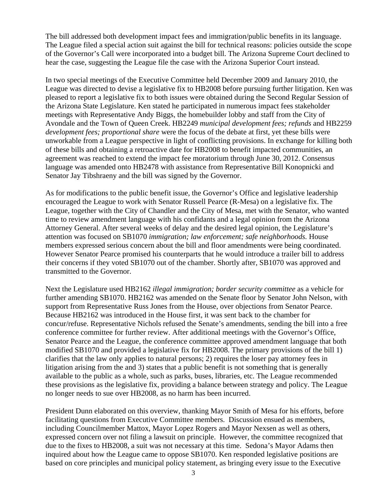The bill addressed both development impact fees and immigration/public benefits in its language. The League filed a special action suit against the bill for technical reasons: policies outside the scope of the Governor's Call were incorporated into a budget bill. The Arizona Supreme Court declined to hear the case, suggesting the League file the case with the Arizona Superior Court instead.

In two special meetings of the Executive Committee held December 2009 and January 2010, the League was directed to devise a legislative fix to HB2008 before pursuing further litigation. Ken was pleased to report a legislative fix to both issues were obtained during the Second Regular Session of the Arizona State Legislature. Ken stated he participated in numerous impact fees stakeholder meetings with Representative Andy Biggs, the homebuilder lobby and staff from the City of Avondale and the Town of Queen Creek. HB2249 *municipal development fees; refunds* and HB2259 *development fees; proportional share* were the focus of the debate at first, yet these bills were unworkable from a League perspective in light of conflicting provisions. In exchange for killing both of these bills and obtaining a retroactive date for HB2008 to benefit impacted communities, an agreement was reached to extend the impact fee moratorium through June 30, 2012. Consensus language was amended onto HB2478 with assistance from Representative Bill Konopnicki and Senator Jay Tibshraeny and the bill was signed by the Governor.

As for modifications to the public benefit issue, the Governor's Office and legislative leadership encouraged the League to work with Senator Russell Pearce (R-Mesa) on a legislative fix. The League, together with the City of Chandler and the City of Mesa, met with the Senator, who wanted time to review amendment language with his confidants and a legal opinion from the Arizona Attorney General. After several weeks of delay and the desired legal opinion, the Legislature's attention was focused on SB1070 *immigration; law enforcement; safe neighborhoods.* House members expressed serious concern about the bill and floor amendments were being coordinated. However Senator Pearce promised his counterparts that he would introduce a trailer bill to address their concerns if they voted SB1070 out of the chamber. Shortly after, SB1070 was approved and transmitted to the Governor.

Next the Legislature used HB2162 *illegal immigration; border security committee* as a vehicle for further amending SB1070. HB2162 was amended on the Senate floor by Senator John Nelson, with support from Representative Russ Jones from the House, over objections from Senator Pearce. Because HB2162 was introduced in the House first, it was sent back to the chamber for concur/refuse. Representative Nichols refused the Senate's amendments, sending the bill into a free conference committee for further review. After additional meetings with the Governor's Office, Senator Pearce and the League, the conference committee approved amendment language that both modified SB1070 and provided a legislative fix for HB2008. The primary provisions of the bill 1) clarifies that the law only applies to natural persons; 2) requires the loser pay attorney fees in litigation arising from the and 3) states that a public benefit is not something that is generally available to the public as a whole, such as parks, buses, libraries, etc. The League recommended these provisions as the legislative fix, providing a balance between strategy and policy. The League no longer needs to sue over HB2008, as no harm has been incurred.

President Dunn elaborated on this overview, thanking Mayor Smith of Mesa for his efforts, before facilitating questions from Executive Committee members. Discussion ensued as members, including Councilmember Mattox, Mayor Lopez Rogers and Mayor Nexsen as well as others, expressed concern over not filing a lawsuit on principle. However, the committee recognized that due to the fixes to HB2008, a suit was not necessary at this time. Sedona's Mayor Adams then inquired about how the League came to oppose SB1070. Ken responded legislative positions are based on core principles and municipal policy statement, as bringing every issue to the Executive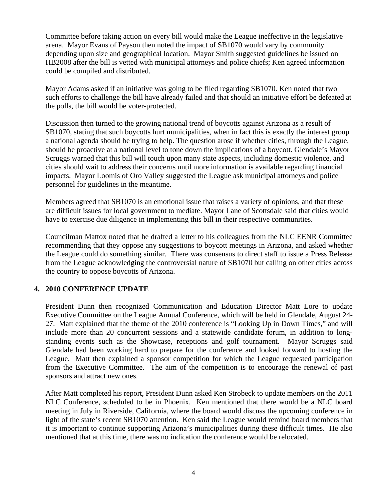Committee before taking action on every bill would make the League ineffective in the legislative arena. Mayor Evans of Payson then noted the impact of SB1070 would vary by community depending upon size and geographical location. Mayor Smith suggested guidelines be issued on HB2008 after the bill is vetted with municipal attorneys and police chiefs; Ken agreed information could be compiled and distributed.

Mayor Adams asked if an initiative was going to be filed regarding SB1070. Ken noted that two such efforts to challenge the bill have already failed and that should an initiative effort be defeated at the polls, the bill would be voter-protected.

Discussion then turned to the growing national trend of boycotts against Arizona as a result of SB1070, stating that such boycotts hurt municipalities, when in fact this is exactly the interest group a national agenda should be trying to help. The question arose if whether cities, through the League, should be proactive at a national level to tone down the implications of a boycott. Glendale's Mayor Scruggs warned that this bill will touch upon many state aspects, including domestic violence, and cities should wait to address their concerns until more information is available regarding financial impacts. Mayor Loomis of Oro Valley suggested the League ask municipal attorneys and police personnel for guidelines in the meantime.

Members agreed that SB1070 is an emotional issue that raises a variety of opinions, and that these are difficult issues for local government to mediate. Mayor Lane of Scottsdale said that cities would have to exercise due diligence in implementing this bill in their respective communities.

Councilman Mattox noted that he drafted a letter to his colleagues from the NLC EENR Committee recommending that they oppose any suggestions to boycott meetings in Arizona, and asked whether the League could do something similar. There was consensus to direct staff to issue a Press Release from the League acknowledging the controversial nature of SB1070 but calling on other cities across the country to oppose boycotts of Arizona.

# **4. 2010 CONFERENCE UPDATE**

President Dunn then recognized Communication and Education Director Matt Lore to update Executive Committee on the League Annual Conference, which will be held in Glendale, August 24- 27. Matt explained that the theme of the 2010 conference is "Looking Up in Down Times," and will include more than 20 concurrent sessions and a statewide candidate forum, in addition to longstanding events such as the Showcase, receptions and golf tournament. Mayor Scruggs said Glendale had been working hard to prepare for the conference and looked forward to hosting the League. Matt then explained a sponsor competition for which the League requested participation from the Executive Committee. The aim of the competition is to encourage the renewal of past sponsors and attract new ones.

After Matt completed his report, President Dunn asked Ken Strobeck to update members on the 2011 NLC Conference, scheduled to be in Phoenix. Ken mentioned that there would be a NLC board meeting in July in Riverside, California, where the board would discuss the upcoming conference in light of the state's recent SB1070 attention. Ken said the League would remind board members that it is important to continue supporting Arizona's municipalities during these difficult times. He also mentioned that at this time, there was no indication the conference would be relocated.